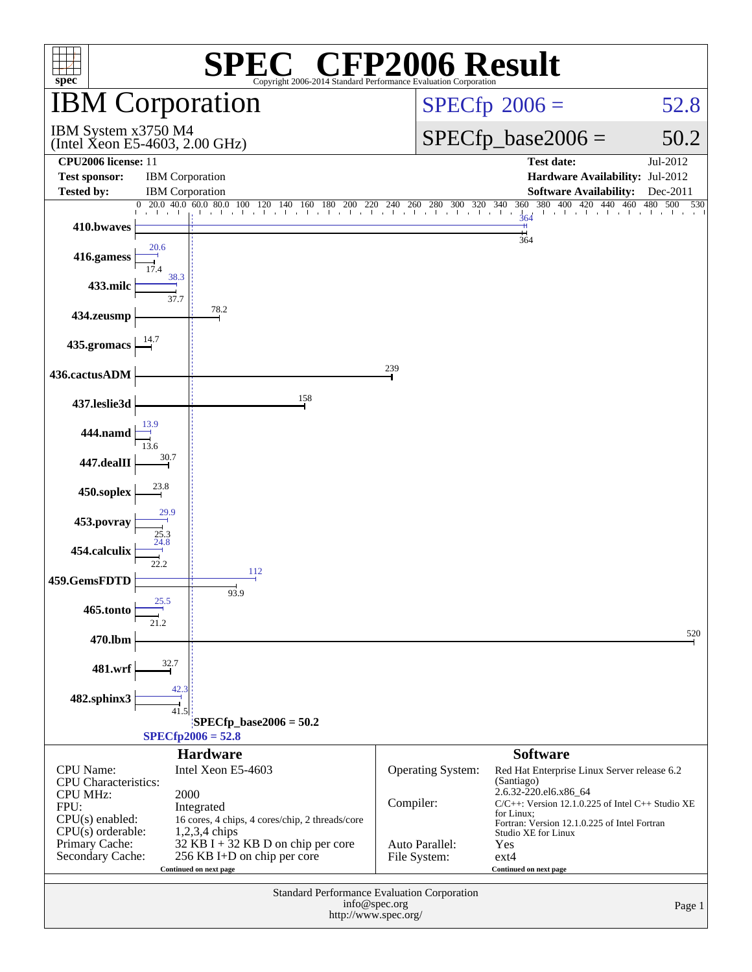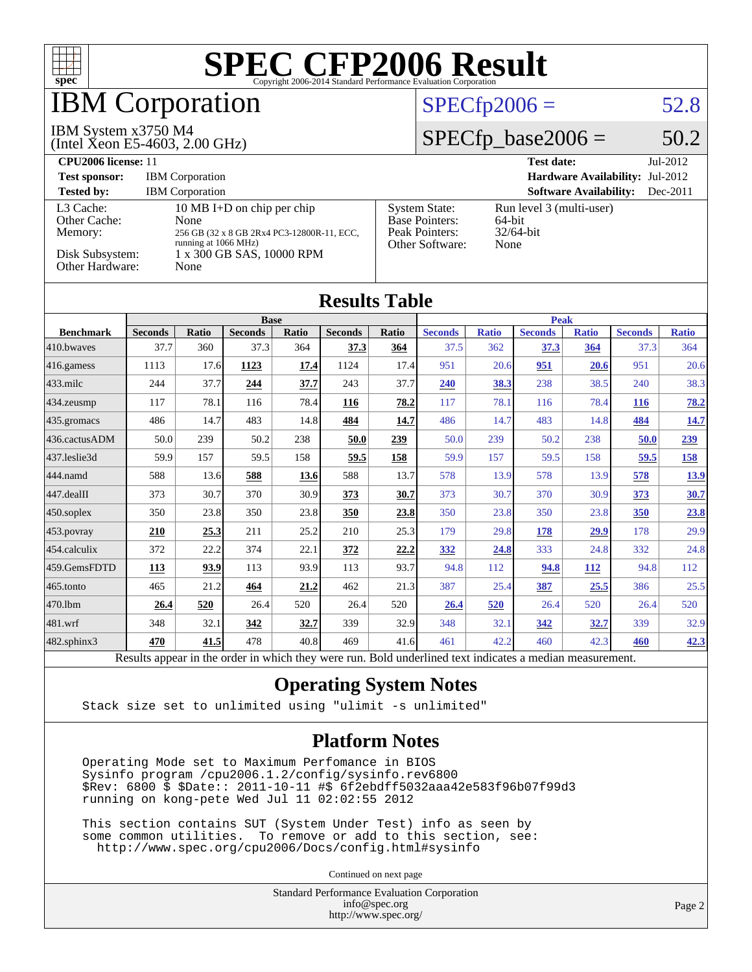

Results appear in the [order in which they were run.](http://www.spec.org/auto/cpu2006/Docs/result-fields.html#RunOrder) Bold underlined text [indicates a median measurement.](http://www.spec.org/auto/cpu2006/Docs/result-fields.html#Median)

#### **[Operating System Notes](http://www.spec.org/auto/cpu2006/Docs/result-fields.html#OperatingSystemNotes)**

Stack size set to unlimited using "ulimit -s unlimited"

#### **[Platform Notes](http://www.spec.org/auto/cpu2006/Docs/result-fields.html#PlatformNotes)**

 Operating Mode set to Maximum Perfomance in BIOS Sysinfo program /cpu2006.1.2/config/sysinfo.rev6800 \$Rev: 6800 \$ \$Date:: 2011-10-11 #\$ 6f2ebdff5032aaa42e583f96b07f99d3 running on kong-pete Wed Jul 11 02:02:55 2012

 This section contains SUT (System Under Test) info as seen by some common utilities. To remove or add to this section, see: <http://www.spec.org/cpu2006/Docs/config.html#sysinfo>

Continued on next page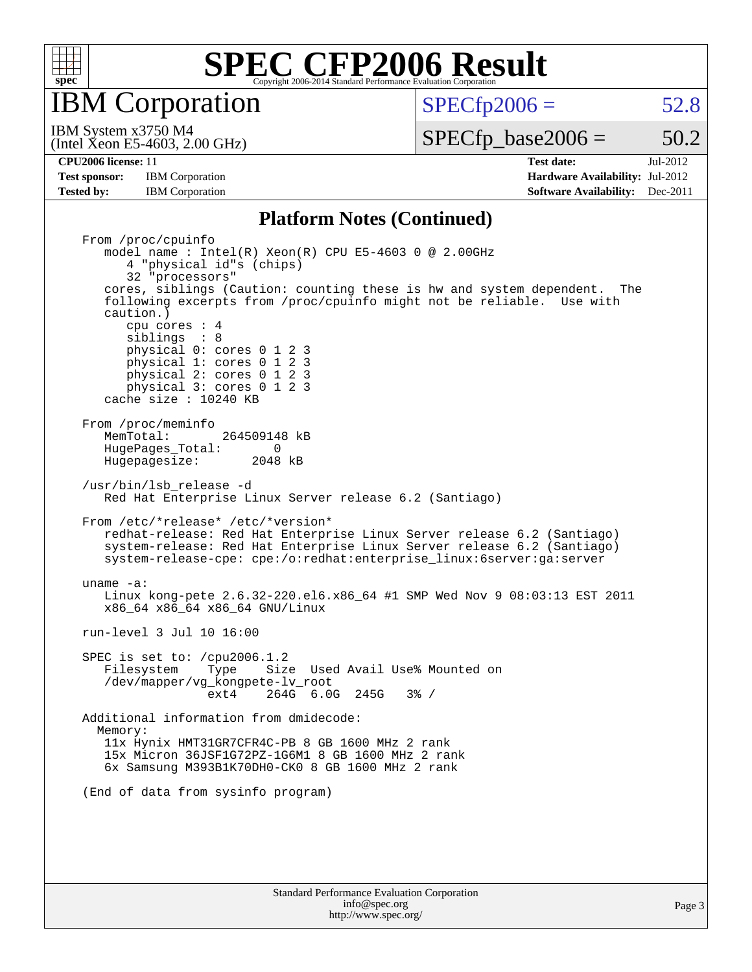

IBM Corporation

 $SPECTp2006 = 52.8$ 

(Intel Xeon E5-4603, 2.00 GHz) IBM System x3750 M4

 $SPECTp\_base2006 = 50.2$ 

**[Test sponsor:](http://www.spec.org/auto/cpu2006/Docs/result-fields.html#Testsponsor)** IBM Corporation **[Hardware Availability:](http://www.spec.org/auto/cpu2006/Docs/result-fields.html#HardwareAvailability)** Jul-2012 **[Tested by:](http://www.spec.org/auto/cpu2006/Docs/result-fields.html#Testedby)** IBM Corporation **[Software Availability:](http://www.spec.org/auto/cpu2006/Docs/result-fields.html#SoftwareAvailability)** Dec-2011

**[CPU2006 license:](http://www.spec.org/auto/cpu2006/Docs/result-fields.html#CPU2006license)** 11 **[Test date:](http://www.spec.org/auto/cpu2006/Docs/result-fields.html#Testdate)** Jul-2012

#### **[Platform Notes \(Continued\)](http://www.spec.org/auto/cpu2006/Docs/result-fields.html#PlatformNotes)**

 From /proc/cpuinfo model name : Intel(R) Xeon(R) CPU E5-4603 0 @ 2.00GHz 4 "physical id"s (chips) 32 "processors" cores, siblings (Caution: counting these is hw and system dependent. The following excerpts from /proc/cpuinfo might not be reliable. Use with caution.) cpu cores : 4 siblings : 8 physical 0: cores 0 1 2 3 physical 1: cores 0 1 2 3 physical  $2:$  cores  $0 \ 1 \ 2$  physical 3: cores 0 1 2 3 cache size : 10240 KB From /proc/meminfo<br>MemTotal: 264509148 kB HugePages\_Total: 0<br>Hugepagesize: 2048 kB Hugepagesize: /usr/bin/lsb\_release -d Red Hat Enterprise Linux Server release 6.2 (Santiago) From /etc/\*release\* /etc/\*version\* redhat-release: Red Hat Enterprise Linux Server release 6.2 (Santiago) system-release: Red Hat Enterprise Linux Server release 6.2 (Santiago) system-release-cpe: cpe:/o:redhat:enterprise\_linux:6server:ga:server uname -a: Linux kong-pete 2.6.32-220.el6.x86\_64 #1 SMP Wed Nov 9 08:03:13 EST 2011 x86\_64 x86\_64 x86\_64 GNU/Linux run-level 3 Jul 10 16:00 SPEC is set to: /cpu2006.1.2 Filesystem Type Size Used Avail Use% Mounted on /dev/mapper/vg\_kongpete-lv\_root ext4 264G 6.0G 245G 3% / Additional information from dmidecode: Memory: 11x Hynix HMT31GR7CFR4C-PB 8 GB 1600 MHz 2 rank 15x Micron 36JSF1G72PZ-1G6M1 8 GB 1600 MHz 2 rank 6x Samsung M393B1K70DH0-CK0 8 GB 1600 MHz 2 rank (End of data from sysinfo program)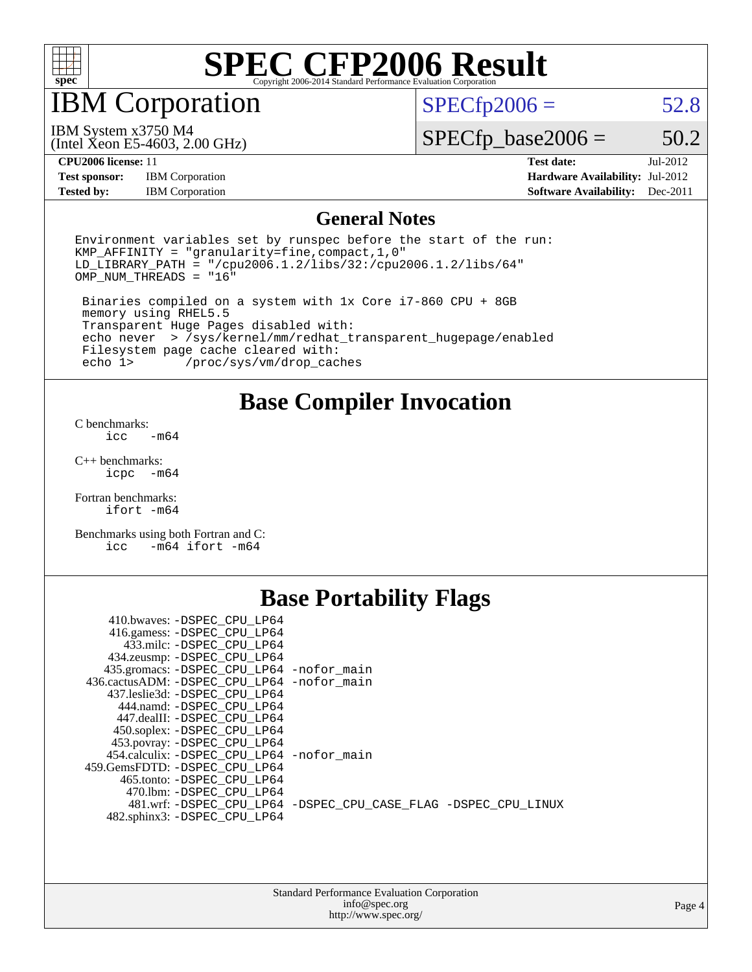

### IBM Corporation

 $SPECTp2006 = 52.8$ 

IBM System x3750 M4

(Intel Xeon E5-4603, 2.00 GHz)

 $SPECfp\_base2006 = 50.2$ 

**[Test sponsor:](http://www.spec.org/auto/cpu2006/Docs/result-fields.html#Testsponsor)** IBM Corporation **[Hardware Availability:](http://www.spec.org/auto/cpu2006/Docs/result-fields.html#HardwareAvailability)** Jul-2012 **[Tested by:](http://www.spec.org/auto/cpu2006/Docs/result-fields.html#Testedby)** IBM Corporation **[Software Availability:](http://www.spec.org/auto/cpu2006/Docs/result-fields.html#SoftwareAvailability)** Dec-2011

**[CPU2006 license:](http://www.spec.org/auto/cpu2006/Docs/result-fields.html#CPU2006license)** 11 **[Test date:](http://www.spec.org/auto/cpu2006/Docs/result-fields.html#Testdate)** Jul-2012

#### **[General Notes](http://www.spec.org/auto/cpu2006/Docs/result-fields.html#GeneralNotes)**

Environment variables set by runspec before the start of the run: KMP\_AFFINITY = "granularity=fine,compact,1,0" LD\_LIBRARY\_PATH = "/cpu2006.1.2/libs/32:/cpu2006.1.2/libs/64" OMP\_NUM\_THREADS = "16"

 Binaries compiled on a system with 1x Core i7-860 CPU + 8GB memory using RHEL5.5 Transparent Huge Pages disabled with: echo never > /sys/kernel/mm/redhat\_transparent\_hugepage/enabled Filesystem page cache cleared with:<br>echo 1> /proc/sys/vm/drop cac /proc/sys/vm/drop\_caches

### **[Base Compiler Invocation](http://www.spec.org/auto/cpu2006/Docs/result-fields.html#BaseCompilerInvocation)**

[C benchmarks](http://www.spec.org/auto/cpu2006/Docs/result-fields.html#Cbenchmarks):  $\text{icc}$   $-\text{m64}$ 

[C++ benchmarks:](http://www.spec.org/auto/cpu2006/Docs/result-fields.html#CXXbenchmarks) [icpc -m64](http://www.spec.org/cpu2006/results/res2012q3/cpu2006-20120716-23714.flags.html#user_CXXbase_intel_icpc_64bit_bedb90c1146cab66620883ef4f41a67e)

[Fortran benchmarks](http://www.spec.org/auto/cpu2006/Docs/result-fields.html#Fortranbenchmarks): [ifort -m64](http://www.spec.org/cpu2006/results/res2012q3/cpu2006-20120716-23714.flags.html#user_FCbase_intel_ifort_64bit_ee9d0fb25645d0210d97eb0527dcc06e)

[Benchmarks using both Fortran and C](http://www.spec.org/auto/cpu2006/Docs/result-fields.html#BenchmarksusingbothFortranandC): [icc -m64](http://www.spec.org/cpu2006/results/res2012q3/cpu2006-20120716-23714.flags.html#user_CC_FCbase_intel_icc_64bit_0b7121f5ab7cfabee23d88897260401c) [ifort -m64](http://www.spec.org/cpu2006/results/res2012q3/cpu2006-20120716-23714.flags.html#user_CC_FCbase_intel_ifort_64bit_ee9d0fb25645d0210d97eb0527dcc06e)

### **[Base Portability Flags](http://www.spec.org/auto/cpu2006/Docs/result-fields.html#BasePortabilityFlags)**

| 410.bwaves: -DSPEC CPU LP64                 |                                                                |
|---------------------------------------------|----------------------------------------------------------------|
| 416.gamess: -DSPEC_CPU_LP64                 |                                                                |
| 433.milc: -DSPEC CPU LP64                   |                                                                |
| 434.zeusmp: - DSPEC_CPU_LP64                |                                                                |
| 435.gromacs: -DSPEC_CPU_LP64 -nofor_main    |                                                                |
| 436.cactusADM: -DSPEC CPU LP64 -nofor main  |                                                                |
| 437.leslie3d: -DSPEC CPU LP64               |                                                                |
| 444.namd: -DSPEC CPU LP64                   |                                                                |
| 447.dealII: -DSPEC CPU LP64                 |                                                                |
| 450.soplex: - DSPEC CPU LP64                |                                                                |
| 453.povray: -DSPEC_CPU_LP64                 |                                                                |
| 454.calculix: - DSPEC CPU LP64 - nofor main |                                                                |
| 459.GemsFDTD: -DSPEC CPU LP64               |                                                                |
| 465.tonto: - DSPEC CPU LP64                 |                                                                |
| 470.1bm: - DSPEC_CPU LP64                   |                                                                |
|                                             | 481.wrf: -DSPEC CPU_LP64 -DSPEC_CPU_CASE_FLAG -DSPEC_CPU_LINUX |
| 482.sphinx3: -DSPEC_CPU_LP64                |                                                                |
|                                             |                                                                |

| <b>Standard Performance Evaluation Corporation</b> |  |
|----------------------------------------------------|--|
| info@spec.org                                      |  |
| http://www.spec.org/                               |  |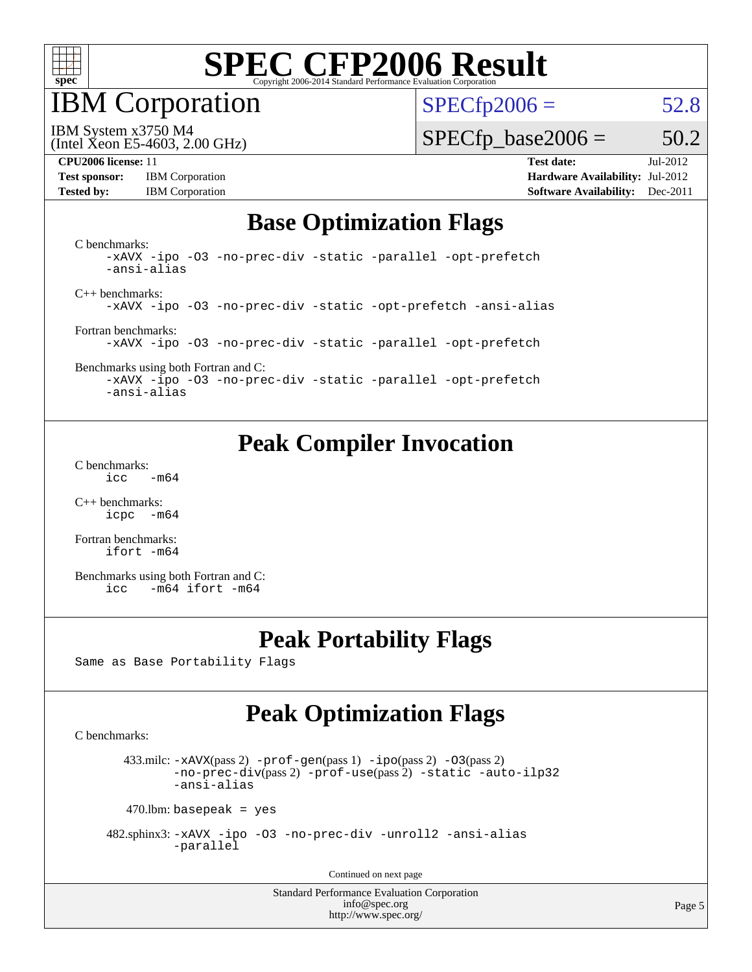

IBM Corporation

 $SPECTp2006 = 52.8$ 

(Intel Xeon E5-4603, 2.00 GHz) IBM System x3750 M4

 $SPECTp\_base2006 = 50.2$ 

**[Test sponsor:](http://www.spec.org/auto/cpu2006/Docs/result-fields.html#Testsponsor)** IBM Corporation **[Hardware Availability:](http://www.spec.org/auto/cpu2006/Docs/result-fields.html#HardwareAvailability)** Jul-2012

**[CPU2006 license:](http://www.spec.org/auto/cpu2006/Docs/result-fields.html#CPU2006license)** 11 **[Test date:](http://www.spec.org/auto/cpu2006/Docs/result-fields.html#Testdate)** Jul-2012 **[Tested by:](http://www.spec.org/auto/cpu2006/Docs/result-fields.html#Testedby)** IBM Corporation **[Software Availability:](http://www.spec.org/auto/cpu2006/Docs/result-fields.html#SoftwareAvailability)** Dec-2011

### **[Base Optimization Flags](http://www.spec.org/auto/cpu2006/Docs/result-fields.html#BaseOptimizationFlags)**

[C benchmarks](http://www.spec.org/auto/cpu2006/Docs/result-fields.html#Cbenchmarks): [-xAVX](http://www.spec.org/cpu2006/results/res2012q3/cpu2006-20120716-23714.flags.html#user_CCbase_f-xAVX) [-ipo](http://www.spec.org/cpu2006/results/res2012q3/cpu2006-20120716-23714.flags.html#user_CCbase_f-ipo) [-O3](http://www.spec.org/cpu2006/results/res2012q3/cpu2006-20120716-23714.flags.html#user_CCbase_f-O3) [-no-prec-div](http://www.spec.org/cpu2006/results/res2012q3/cpu2006-20120716-23714.flags.html#user_CCbase_f-no-prec-div) [-static](http://www.spec.org/cpu2006/results/res2012q3/cpu2006-20120716-23714.flags.html#user_CCbase_f-static) [-parallel](http://www.spec.org/cpu2006/results/res2012q3/cpu2006-20120716-23714.flags.html#user_CCbase_f-parallel) [-opt-prefetch](http://www.spec.org/cpu2006/results/res2012q3/cpu2006-20120716-23714.flags.html#user_CCbase_f-opt-prefetch) [-ansi-alias](http://www.spec.org/cpu2006/results/res2012q3/cpu2006-20120716-23714.flags.html#user_CCbase_f-ansi-alias) [C++ benchmarks:](http://www.spec.org/auto/cpu2006/Docs/result-fields.html#CXXbenchmarks) [-xAVX](http://www.spec.org/cpu2006/results/res2012q3/cpu2006-20120716-23714.flags.html#user_CXXbase_f-xAVX) [-ipo](http://www.spec.org/cpu2006/results/res2012q3/cpu2006-20120716-23714.flags.html#user_CXXbase_f-ipo) [-O3](http://www.spec.org/cpu2006/results/res2012q3/cpu2006-20120716-23714.flags.html#user_CXXbase_f-O3) [-no-prec-div](http://www.spec.org/cpu2006/results/res2012q3/cpu2006-20120716-23714.flags.html#user_CXXbase_f-no-prec-div) [-static](http://www.spec.org/cpu2006/results/res2012q3/cpu2006-20120716-23714.flags.html#user_CXXbase_f-static) [-opt-prefetch](http://www.spec.org/cpu2006/results/res2012q3/cpu2006-20120716-23714.flags.html#user_CXXbase_f-opt-prefetch) [-ansi-alias](http://www.spec.org/cpu2006/results/res2012q3/cpu2006-20120716-23714.flags.html#user_CXXbase_f-ansi-alias) [Fortran benchmarks](http://www.spec.org/auto/cpu2006/Docs/result-fields.html#Fortranbenchmarks): [-xAVX](http://www.spec.org/cpu2006/results/res2012q3/cpu2006-20120716-23714.flags.html#user_FCbase_f-xAVX) [-ipo](http://www.spec.org/cpu2006/results/res2012q3/cpu2006-20120716-23714.flags.html#user_FCbase_f-ipo) [-O3](http://www.spec.org/cpu2006/results/res2012q3/cpu2006-20120716-23714.flags.html#user_FCbase_f-O3) [-no-prec-div](http://www.spec.org/cpu2006/results/res2012q3/cpu2006-20120716-23714.flags.html#user_FCbase_f-no-prec-div) [-static](http://www.spec.org/cpu2006/results/res2012q3/cpu2006-20120716-23714.flags.html#user_FCbase_f-static) [-parallel](http://www.spec.org/cpu2006/results/res2012q3/cpu2006-20120716-23714.flags.html#user_FCbase_f-parallel) [-opt-prefetch](http://www.spec.org/cpu2006/results/res2012q3/cpu2006-20120716-23714.flags.html#user_FCbase_f-opt-prefetch) [Benchmarks using both Fortran and C](http://www.spec.org/auto/cpu2006/Docs/result-fields.html#BenchmarksusingbothFortranandC): [-xAVX](http://www.spec.org/cpu2006/results/res2012q3/cpu2006-20120716-23714.flags.html#user_CC_FCbase_f-xAVX) [-ipo](http://www.spec.org/cpu2006/results/res2012q3/cpu2006-20120716-23714.flags.html#user_CC_FCbase_f-ipo) [-O3](http://www.spec.org/cpu2006/results/res2012q3/cpu2006-20120716-23714.flags.html#user_CC_FCbase_f-O3) [-no-prec-div](http://www.spec.org/cpu2006/results/res2012q3/cpu2006-20120716-23714.flags.html#user_CC_FCbase_f-no-prec-div) [-static](http://www.spec.org/cpu2006/results/res2012q3/cpu2006-20120716-23714.flags.html#user_CC_FCbase_f-static) [-parallel](http://www.spec.org/cpu2006/results/res2012q3/cpu2006-20120716-23714.flags.html#user_CC_FCbase_f-parallel) [-opt-prefetch](http://www.spec.org/cpu2006/results/res2012q3/cpu2006-20120716-23714.flags.html#user_CC_FCbase_f-opt-prefetch)

[-ansi-alias](http://www.spec.org/cpu2006/results/res2012q3/cpu2006-20120716-23714.flags.html#user_CC_FCbase_f-ansi-alias)

## **[Peak Compiler Invocation](http://www.spec.org/auto/cpu2006/Docs/result-fields.html#PeakCompilerInvocation)**

[C benchmarks](http://www.spec.org/auto/cpu2006/Docs/result-fields.html#Cbenchmarks):  $\text{icc}$  -m64

[C++ benchmarks:](http://www.spec.org/auto/cpu2006/Docs/result-fields.html#CXXbenchmarks) [icpc -m64](http://www.spec.org/cpu2006/results/res2012q3/cpu2006-20120716-23714.flags.html#user_CXXpeak_intel_icpc_64bit_bedb90c1146cab66620883ef4f41a67e)

[Fortran benchmarks](http://www.spec.org/auto/cpu2006/Docs/result-fields.html#Fortranbenchmarks): [ifort -m64](http://www.spec.org/cpu2006/results/res2012q3/cpu2006-20120716-23714.flags.html#user_FCpeak_intel_ifort_64bit_ee9d0fb25645d0210d97eb0527dcc06e)

[Benchmarks using both Fortran and C](http://www.spec.org/auto/cpu2006/Docs/result-fields.html#BenchmarksusingbothFortranandC): [icc -m64](http://www.spec.org/cpu2006/results/res2012q3/cpu2006-20120716-23714.flags.html#user_CC_FCpeak_intel_icc_64bit_0b7121f5ab7cfabee23d88897260401c) [ifort -m64](http://www.spec.org/cpu2006/results/res2012q3/cpu2006-20120716-23714.flags.html#user_CC_FCpeak_intel_ifort_64bit_ee9d0fb25645d0210d97eb0527dcc06e)

### **[Peak Portability Flags](http://www.spec.org/auto/cpu2006/Docs/result-fields.html#PeakPortabilityFlags)**

Same as Base Portability Flags

## **[Peak Optimization Flags](http://www.spec.org/auto/cpu2006/Docs/result-fields.html#PeakOptimizationFlags)**

[C benchmarks](http://www.spec.org/auto/cpu2006/Docs/result-fields.html#Cbenchmarks):

433.milc:  $-x$ AVX(pass 2)  $-p$ rof-gen(pass 1)  $-p$ po(pass 2)  $-03$ (pass 2) [-no-prec-div](http://www.spec.org/cpu2006/results/res2012q3/cpu2006-20120716-23714.flags.html#user_peakPASS2_CFLAGSPASS2_LDFLAGS433_milc_f-no-prec-div)(pass 2) [-prof-use](http://www.spec.org/cpu2006/results/res2012q3/cpu2006-20120716-23714.flags.html#user_peakPASS2_CFLAGSPASS2_LDFLAGS433_milc_prof_use_bccf7792157ff70d64e32fe3e1250b55)(pass 2) [-static](http://www.spec.org/cpu2006/results/res2012q3/cpu2006-20120716-23714.flags.html#user_peakOPTIMIZE433_milc_f-static) [-auto-ilp32](http://www.spec.org/cpu2006/results/res2012q3/cpu2006-20120716-23714.flags.html#user_peakCOPTIMIZE433_milc_f-auto-ilp32) [-ansi-alias](http://www.spec.org/cpu2006/results/res2012q3/cpu2006-20120716-23714.flags.html#user_peakCOPTIMIZE433_milc_f-ansi-alias)

 $470$ .lbm: basepeak = yes

 482.sphinx3: [-xAVX](http://www.spec.org/cpu2006/results/res2012q3/cpu2006-20120716-23714.flags.html#user_peakOPTIMIZE482_sphinx3_f-xAVX) [-ipo](http://www.spec.org/cpu2006/results/res2012q3/cpu2006-20120716-23714.flags.html#user_peakOPTIMIZE482_sphinx3_f-ipo) [-O3](http://www.spec.org/cpu2006/results/res2012q3/cpu2006-20120716-23714.flags.html#user_peakOPTIMIZE482_sphinx3_f-O3) [-no-prec-div](http://www.spec.org/cpu2006/results/res2012q3/cpu2006-20120716-23714.flags.html#user_peakOPTIMIZE482_sphinx3_f-no-prec-div) [-unroll2](http://www.spec.org/cpu2006/results/res2012q3/cpu2006-20120716-23714.flags.html#user_peakCOPTIMIZE482_sphinx3_f-unroll_784dae83bebfb236979b41d2422d7ec2) [-ansi-alias](http://www.spec.org/cpu2006/results/res2012q3/cpu2006-20120716-23714.flags.html#user_peakCOPTIMIZE482_sphinx3_f-ansi-alias) [-parallel](http://www.spec.org/cpu2006/results/res2012q3/cpu2006-20120716-23714.flags.html#user_peakCOPTIMIZE482_sphinx3_f-parallel)

Continued on next page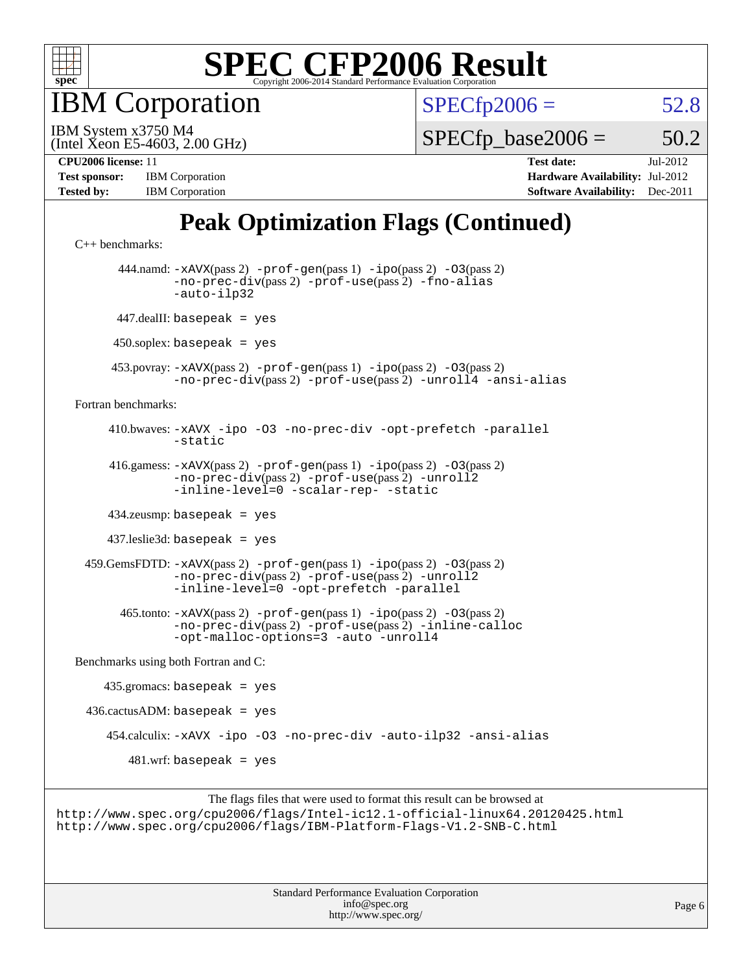

IBM Corporation

 $SPECTp2006 = 52.8$ 

(Intel Xeon E5-4603, 2.00 GHz) IBM System x3750 M4

 $SPECTp\_base2006 = 50.2$ 

| <b>Test sponsor:</b> | <b>IBM</b> Corporation |
|----------------------|------------------------|
| <b>Tested by:</b>    | <b>IBM</b> Corporation |

**[CPU2006 license:](http://www.spec.org/auto/cpu2006/Docs/result-fields.html#CPU2006license)** 11 **[Test date:](http://www.spec.org/auto/cpu2006/Docs/result-fields.html#Testdate)** Jul-2012 **[Hardware Availability:](http://www.spec.org/auto/cpu2006/Docs/result-fields.html#HardwareAvailability)** Jul-2012 **[Software Availability:](http://www.spec.org/auto/cpu2006/Docs/result-fields.html#SoftwareAvailability)** Dec-2011

## **[Peak Optimization Flags \(Continued\)](http://www.spec.org/auto/cpu2006/Docs/result-fields.html#PeakOptimizationFlags)**

```
C++ benchmarks: 
       444.namd: -xAVX(pass 2) -prof-gen(pass 1) -ipo(pass 2) -O3(pass 2)
               -no-prec-div(pass 2) -prof-use(pass 2) -fno-alias
               -auto-ilp32
       447.dealII: basepeak = yes
      450.soplex: basepeak = yes
      453.povray: -xAVX(pass 2) -prof-gen(pass 1) -ipo(pass 2) -O3(pass 2)
               -no-prec-div(pass 2) -prof-use(pass 2) -unroll4 -ansi-alias
Fortran benchmarks: 
      410.bwaves: -xAVX -ipo -O3 -no-prec-div -opt-prefetch -parallel
               -static
      416.gamess: -xAVX(pass 2) -prof-gen(pass 1) -ipo(pass 2) -O3(pass 2)
                -no-prec-div(pass 2) -prof-use(pass 2) -unroll2
               -inline-level=0-scalar-rep--static
      434.zeusmp: basepeak = yes
      437.leslie3d: basepeak = yes
  459.GemsFDTD: -xAVX(pass 2) -prof-gen(pass 1) -ipo(pass 2) -O3(pass 2)
               -no-prec-div(pass 2) -prof-use(pass 2) -unroll2
               -inline-level=0 -opt-prefetch -parallel
        465.tonto: -xAVX(pass 2) -prof-gen(pass 1) -ipo(pass 2) -O3(pass 2)
               -no-prec-div(pass 2) -prof-use(pass 2) -inline-calloc
               -opt-malloc-options=3 -auto -unroll4
Benchmarks using both Fortran and C: 
    435.\text{gromacs: basepeak} = yes
 436.cactusADM:basepeak = yes 454.calculix: -xAVX -ipo -O3 -no-prec-div -auto-ilp32 -ansi-alias
        481.wrf: basepeak = yes
```
The flags files that were used to format this result can be browsed at <http://www.spec.org/cpu2006/flags/Intel-ic12.1-official-linux64.20120425.html> <http://www.spec.org/cpu2006/flags/IBM-Platform-Flags-V1.2-SNB-C.html>